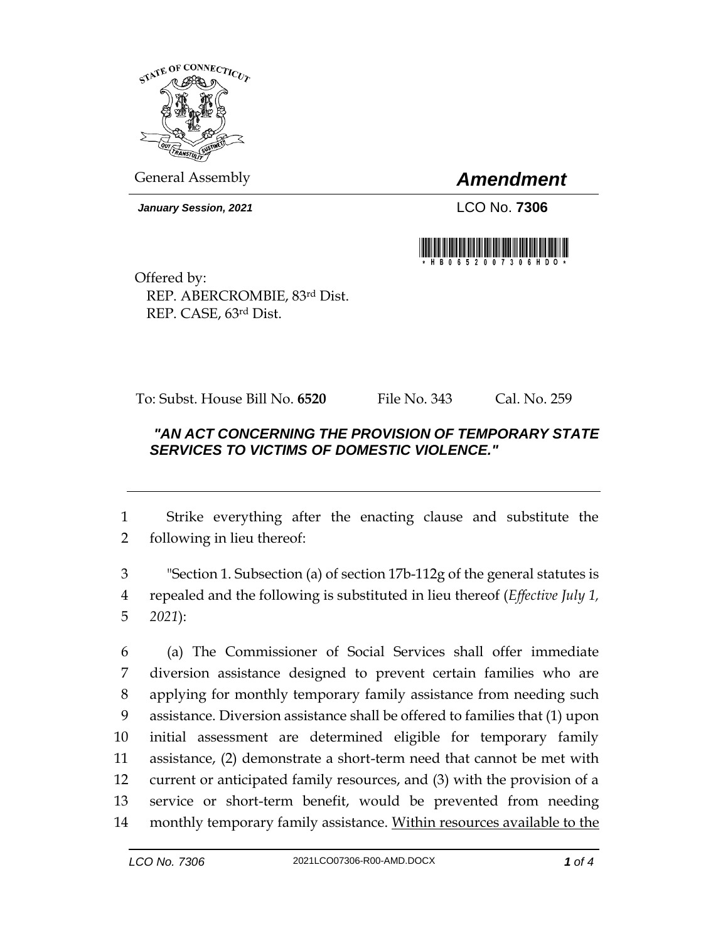

General Assembly *Amendment*

*January Session, 2021* LCO No. **7306**



Offered by: REP. ABERCROMBIE, 83rd Dist. REP. CASE, 63rd Dist.

To: Subst. House Bill No. **6520** File No. 343 Cal. No. 259

## *"AN ACT CONCERNING THE PROVISION OF TEMPORARY STATE SERVICES TO VICTIMS OF DOMESTIC VIOLENCE."*

1 Strike everything after the enacting clause and substitute the 2 following in lieu thereof:

3 "Section 1. Subsection (a) of section 17b-112g of the general statutes is 4 repealed and the following is substituted in lieu thereof (*Effective July 1,*  5 *2021*):

 (a) The Commissioner of Social Services shall offer immediate diversion assistance designed to prevent certain families who are applying for monthly temporary family assistance from needing such assistance. Diversion assistance shall be offered to families that (1) upon initial assessment are determined eligible for temporary family assistance, (2) demonstrate a short-term need that cannot be met with current or anticipated family resources, and (3) with the provision of a service or short-term benefit, would be prevented from needing 14 monthly temporary family assistance. Within resources available to the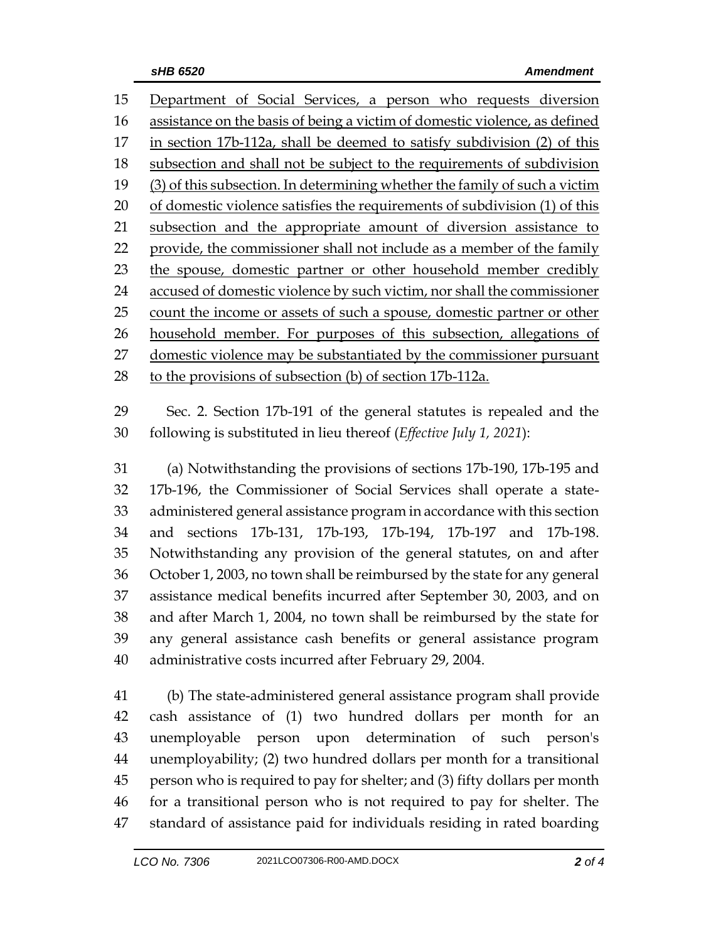Department of Social Services, a person who requests diversion assistance on the basis of being a victim of domestic violence, as defined in section 17b-112a, shall be deemed to satisfy subdivision (2) of this subsection and shall not be subject to the requirements of subdivision (3) of this subsection. In determining whether the family of such a victim of domestic violence satisfies the requirements of subdivision (1) of this subsection and the appropriate amount of diversion assistance to provide, the commissioner shall not include as a member of the family the spouse, domestic partner or other household member credibly accused of domestic violence by such victim, nor shall the commissioner 25 count the income or assets of such a spouse, domestic partner or other household member. For purposes of this subsection, allegations of 27 domestic violence may be substantiated by the commissioner pursuant to the provisions of subsection (b) of section 17b-112a.

 Sec. 2. Section 17b-191 of the general statutes is repealed and the following is substituted in lieu thereof (*Effective July 1, 2021*):

 (a) Notwithstanding the provisions of sections 17b-190, 17b-195 and 17b-196, the Commissioner of Social Services shall operate a state- administered general assistance program in accordance with this section and sections 17b-131, 17b-193, 17b-194, 17b-197 and 17b-198. Notwithstanding any provision of the general statutes, on and after October 1, 2003, no town shall be reimbursed by the state for any general assistance medical benefits incurred after September 30, 2003, and on and after March 1, 2004, no town shall be reimbursed by the state for any general assistance cash benefits or general assistance program administrative costs incurred after February 29, 2004.

 (b) The state-administered general assistance program shall provide cash assistance of (1) two hundred dollars per month for an unemployable person upon determination of such person's unemployability; (2) two hundred dollars per month for a transitional person who is required to pay for shelter; and (3) fifty dollars per month for a transitional person who is not required to pay for shelter. The standard of assistance paid for individuals residing in rated boarding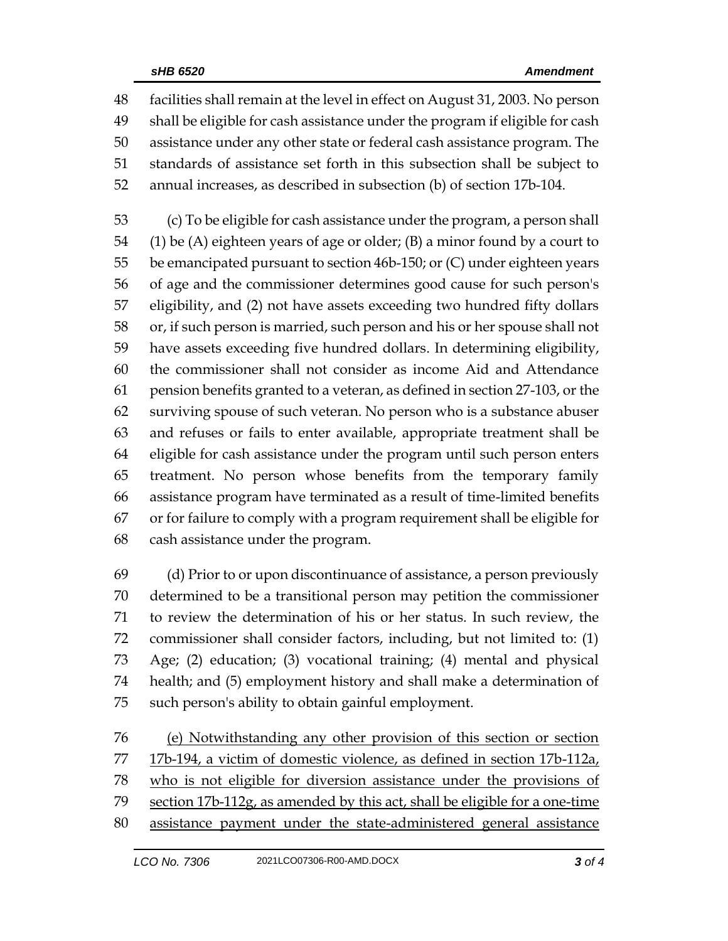facilities shall remain at the level in effect on August 31, 2003. No person shall be eligible for cash assistance under the program if eligible for cash assistance under any other state or federal cash assistance program. The standards of assistance set forth in this subsection shall be subject to annual increases, as described in subsection (b) of section 17b-104.

 (c) To be eligible for cash assistance under the program, a person shall (1) be (A) eighteen years of age or older; (B) a minor found by a court to be emancipated pursuant to section 46b-150; or (C) under eighteen years of age and the commissioner determines good cause for such person's eligibility, and (2) not have assets exceeding two hundred fifty dollars or, if such person is married, such person and his or her spouse shall not have assets exceeding five hundred dollars. In determining eligibility, the commissioner shall not consider as income Aid and Attendance pension benefits granted to a veteran, as defined in section 27-103, or the surviving spouse of such veteran. No person who is a substance abuser and refuses or fails to enter available, appropriate treatment shall be eligible for cash assistance under the program until such person enters treatment. No person whose benefits from the temporary family assistance program have terminated as a result of time-limited benefits or for failure to comply with a program requirement shall be eligible for cash assistance under the program.

 (d) Prior to or upon discontinuance of assistance, a person previously determined to be a transitional person may petition the commissioner to review the determination of his or her status. In such review, the commissioner shall consider factors, including, but not limited to: (1) Age; (2) education; (3) vocational training; (4) mental and physical health; and (5) employment history and shall make a determination of such person's ability to obtain gainful employment.

 (e) Notwithstanding any other provision of this section or section 17b-194, a victim of domestic violence, as defined in section 17b-112a, who is not eligible for diversion assistance under the provisions of 79 section 17b-112g, as amended by this act, shall be eligible for a one-time assistance payment under the state-administered general assistance